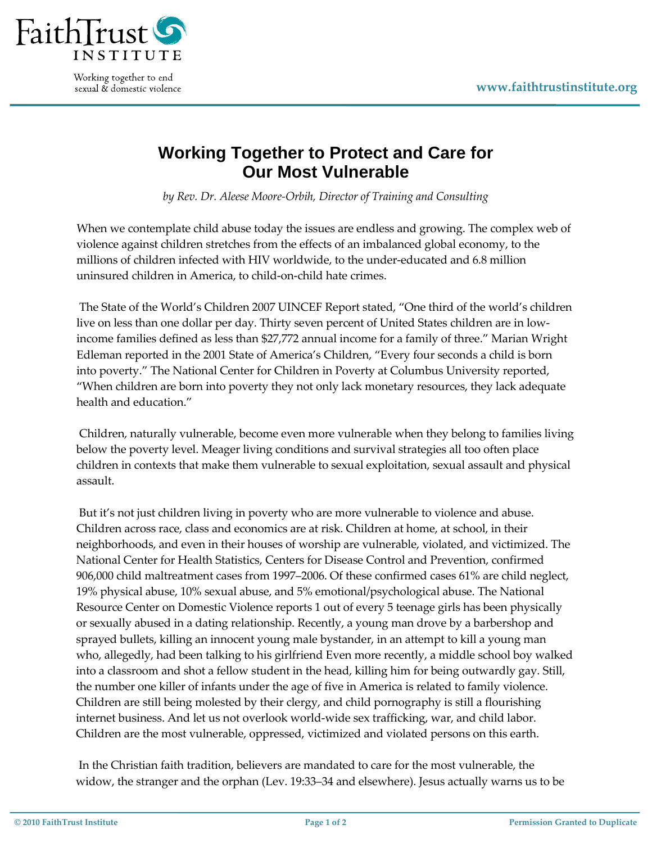

Working together to end sexual & domestic violence

## **Working Together to Protect and Care for Our Most Vulnerable**

*by Rev. Dr. Aleese Moore‐Orbih, Director of Training and Consulting*

When we contemplate child abuse today the issues are endless and growing. The complex web of violence against children stretches from the effects of an imbalanced global economy, to the millions of children infected with HIV worldwide, to the under‐educated and 6.8 million uninsured children in America, to child‐on‐child hate crimes.

The State of the World's Children 2007 UINCEF Report stated, "One third of the world's children live on less than one dollar per day. Thirty seven percent of United States children are in low‐ income families defined as less than \$27,772 annual income for a family of three." Marian Wright Edleman reported in the 2001 State of America's Children, "Every four seconds a child is born into poverty." The National Center for Children in Poverty at Columbus University reported, "When children are born into poverty they not only lack monetary resources, they lack adequate health and education."

Children, naturally vulnerable, become even more vulnerable when they belong to families living below the poverty level. Meager living conditions and survival strategies all too often place children in contexts that make them vulnerable to sexual exploitation, sexual assault and physical assault.

But it's not just children living in poverty who are more vulnerable to violence and abuse. Children across race, class and economics are at risk. Children at home, at school, in their neighborhoods, and even in their houses of worship are vulnerable, violated, and victimized. The National Center for Health Statistics, Centers for Disease Control and Prevention, confirmed 906,000 child maltreatment cases from 1997–2006. Of these confirmed cases 61% are child neglect, 19% physical abuse, 10% sexual abuse, and 5% emotional/psychological abuse. The National Resource Center on Domestic Violence reports 1 out of every 5 teenage girls has been physically or sexually abused in a dating relationship. Recently, a young man drove by a barbershop and sprayed bullets, killing an innocent young male bystander, in an attempt to kill a young man who, allegedly, had been talking to his girlfriend Even more recently, a middle school boy walked into a classroom and shot a fellow student in the head, killing him for being outwardly gay. Still, the number one killer of infants under the age of five in America is related to family violence. Children are still being molested by their clergy, and child pornography is still a flourishing internet business. And let us not overlook world‐wide sex trafficking, war, and child labor. Children are the most vulnerable, oppressed, victimized and violated persons on this earth.

In the Christian faith tradition, believers are mandated to care for the most vulnerable, the widow, the stranger and the orphan (Lev. 19:33–34 and elsewhere). Jesus actually warns us to be